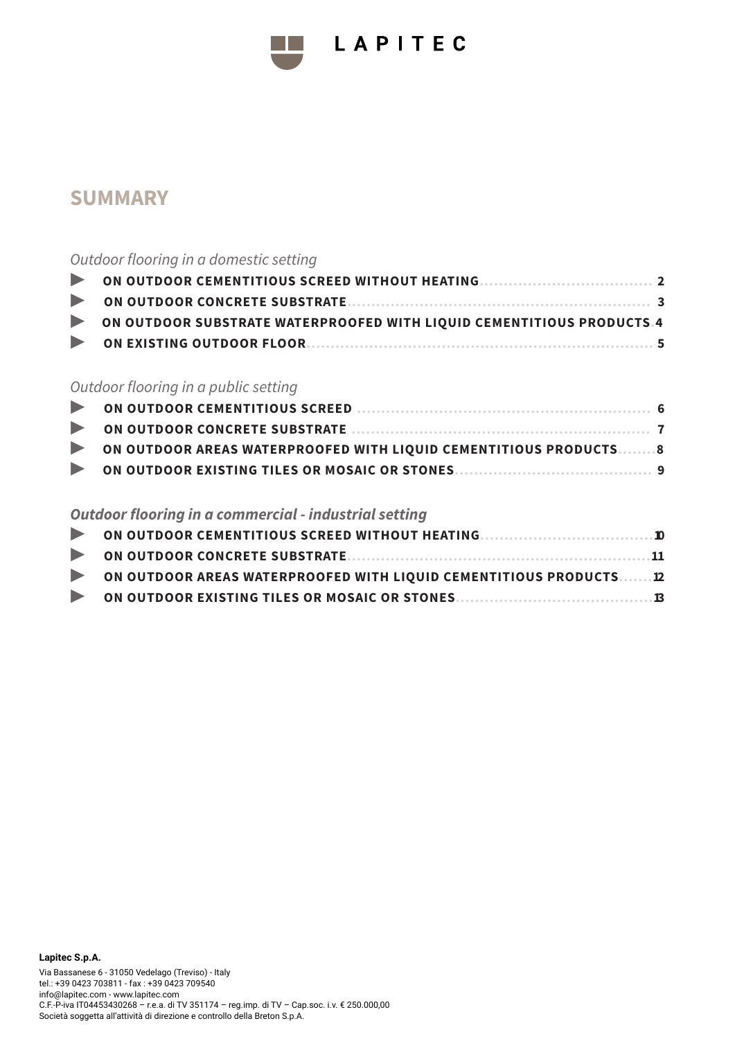

# LAPITEC

# **SUMMARY**

### *Outdoor flooring in a domestic setting*

| ON OUTDOOR SUBSTRATE WATERPROOFED WITH LIQUID CEMENTITIOUS PRODUCTS.4 |  |
|-----------------------------------------------------------------------|--|
|                                                                       |  |

### *Outdoor flooring in a public setting*

| ON OUTDOOR AREAS WATERPROOFED WITH LIQUID CEMENTITIOUS PRODUCTS8 |  |
|------------------------------------------------------------------|--|
|                                                                  |  |

### *Outdoor flooring in a commercial - industrial setting*

| ON OUTDOOR AREAS WATERPROOFED WITH LIQUID CEMENTITIOUS PRODUCTS12 |  |
|-------------------------------------------------------------------|--|
|                                                                   |  |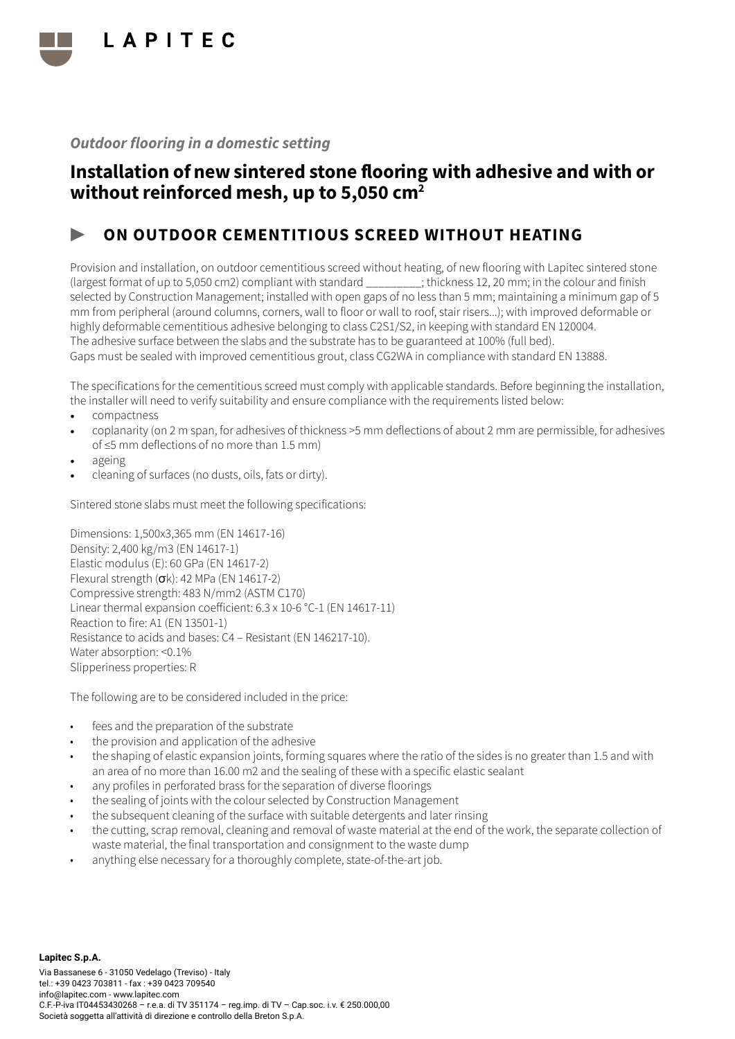

# Installation of new sintered stone flooring with adhesive and with or without reinforced mesh, up to 5,050 cm<sup>2</sup>

### ON OUTDOOR CEMENTITIOUS SCREED WITHOUT HEATING

Provision and installation, on outdoor cementitious screed without heating, of new flooring with Lapitec sintered stone (largest format of up to 5,050 cm2) compliant with standard \_\_\_\_\_\_\_\_\_; thickness 12, 20 mm; in the colour and finish selected by Construction Management; installed with open gaps of no less than 5 mm; maintaining a minimum gap of 5 mm from peripheral (around columns, corners, wall to floor or wall to roof, stair risers...); with improved deformable or highly deformable cementitious adhesive belonging to class C2S1/S2, in keeping with standard EN 120004. The adhesive surface between the slabs and the substrate has to be guaranteed at 100% (full bed). Gaps must be sealed with improved cementitious grout, class CG2WA in compliance with standard EN 13888.

The specifications for the cementitious screed must comply with applicable standards. Before beginning the installation, the installer will need to verify suitability and ensure compliance with the requirements listed below:

- compactness
- coplanarity (on 2 m span, for adhesives of thickness >5 mm deflections of about 2 mm are permissible, for adhesives of ≤5 mm deflections of no more than 1.5 mm)
- ageing
- cleaning of surfaces (no dusts, oils, fats or dirty).

Sintered stone slabs must meet the following specifications:

Dimensions: 1,500x3,365 mm (EN 14617-16) Density: 2,400 kg/m3 (EN 14617-1) Elastic modulus (E): 60 GPa (EN 14617-2) Flexural strength  $(\sigma k)$ : 42 MPa (EN 14617-2) Compressive strength: 483 N/mm2 (ASTM C170) Linear thermal expansion coefficient: 6.3 x 10-6 °C-1 (EN 14617-11) Reaction to fire: A1 (EN 13501-1) Resistance to acids and bases: C4 – Resistant (EN 146217-10). Water absorption: <0.1% Slipperiness properties: R

- fees and the preparation of the substrate
- the provision and application of the adhesive
- the shaping of elastic expansion joints, forming squares where the ratio of the sides is no greater than 1.5 and with an area of no more than 16.00 m2 and the sealing of these with a specific elastic sealant
- any profiles in perforated brass for the separation of diverse floorings
- the sealing of joints with the colour selected by Construction Management
- the subsequent cleaning of the surface with suitable detergents and later rinsing
- the cutting, scrap removal, cleaning and removal of waste material at the end of the work, the separate collection of waste material, the final transportation and consignment to the waste dump
- anything else necessary for a thoroughly complete, state-of-the-art job.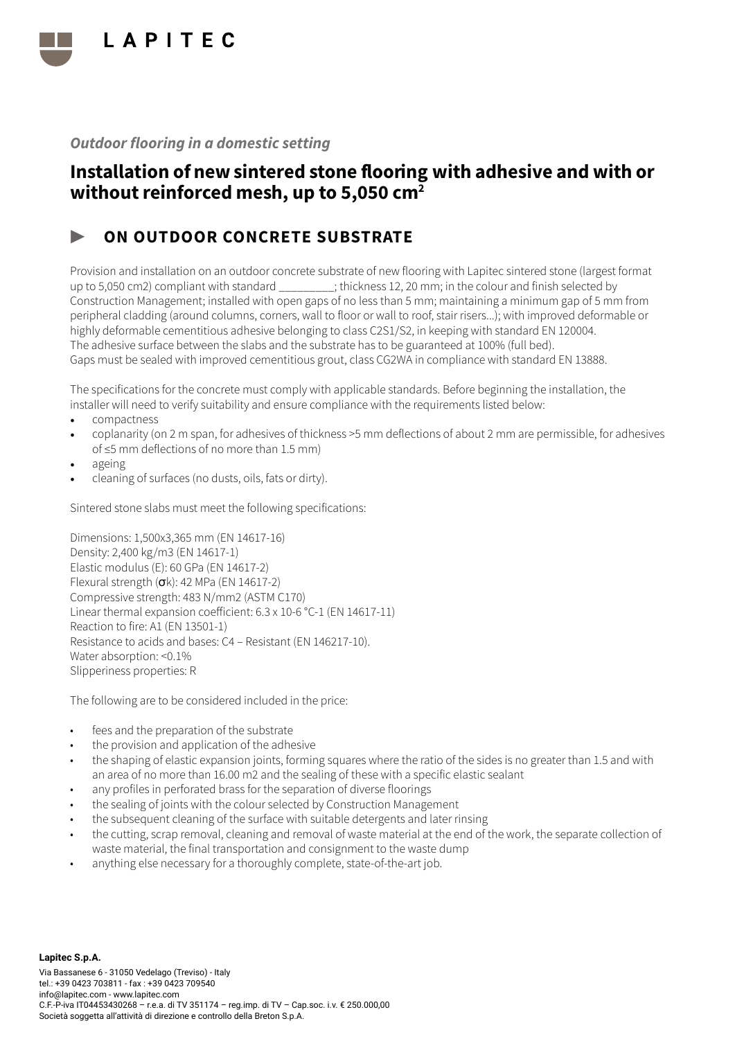

# Installation of new sintered stone flooring with adhesive and with or without reinforced mesh, up to 5,050 cm<sup>2</sup>

### ON OUTDOOR CONCRETE SUBSTRATE

Provision and installation on an outdoor concrete substrate of new flooring with Lapitec sintered stone (largest format up to 5,050 cm2) compliant with standard \_\_\_\_\_\_\_\_\_; thickness 12, 20 mm; in the colour and finish selected by Construction Management; installed with open gaps of no less than 5 mm; maintaining a minimum gap of 5 mm from peripheral cladding (around columns, corners, wall to floor or wall to roof, stair risers...); with improved deformable or highly deformable cementitious adhesive belonging to class C2S1/S2, in keeping with standard EN 120004. The adhesive surface between the slabs and the substrate has to be guaranteed at 100% (full bed). Gaps must be sealed with improved cementitious grout, class CG2WA in compliance with standard EN 13888.

The specifications for the concrete must comply with applicable standards. Before beginning the installation, the installer will need to verify suitability and ensure compliance with the requirements listed below:

- compactness
- coplanarity (on 2 m span, for adhesives of thickness >5 mm deflections of about 2 mm are permissible, for adhesives of ≤5 mm deflections of no more than 1.5 mm)
- ageing
- cleaning of surfaces (no dusts, oils, fats or dirty).

Sintered stone slabs must meet the following specifications:

Dimensions: 1,500x3,365 mm (EN 14617-16) Density: 2,400 kg/m3 (EN 14617-1) Elastic modulus (E): 60 GPa (EN 14617-2) Flexural strength  $(\sigma k)$ : 42 MPa (EN 14617-2) Compressive strength: 483 N/mm2 (ASTM C170) Linear thermal expansion coefficient: 6.3 x 10-6 °C-1 (EN 14617-11) Reaction to fire: A1 (EN 13501-1) Resistance to acids and bases: C4 – Resistant (EN 146217-10). Water absorption: <0.1% Slipperiness properties: R

- fees and the preparation of the substrate
- the provision and application of the adhesive
- the shaping of elastic expansion joints, forming squares where the ratio of the sides is no greater than 1.5 and with an area of no more than 16.00 m2 and the sealing of these with a specific elastic sealant
- any profiles in perforated brass for the separation of diverse floorings
- the sealing of joints with the colour selected by Construction Management
- the subsequent cleaning of the surface with suitable detergents and later rinsing
- the cutting, scrap removal, cleaning and removal of waste material at the end of the work, the separate collection of waste material, the final transportation and consignment to the waste dump
- anything else necessary for a thoroughly complete, state-of-the-art job.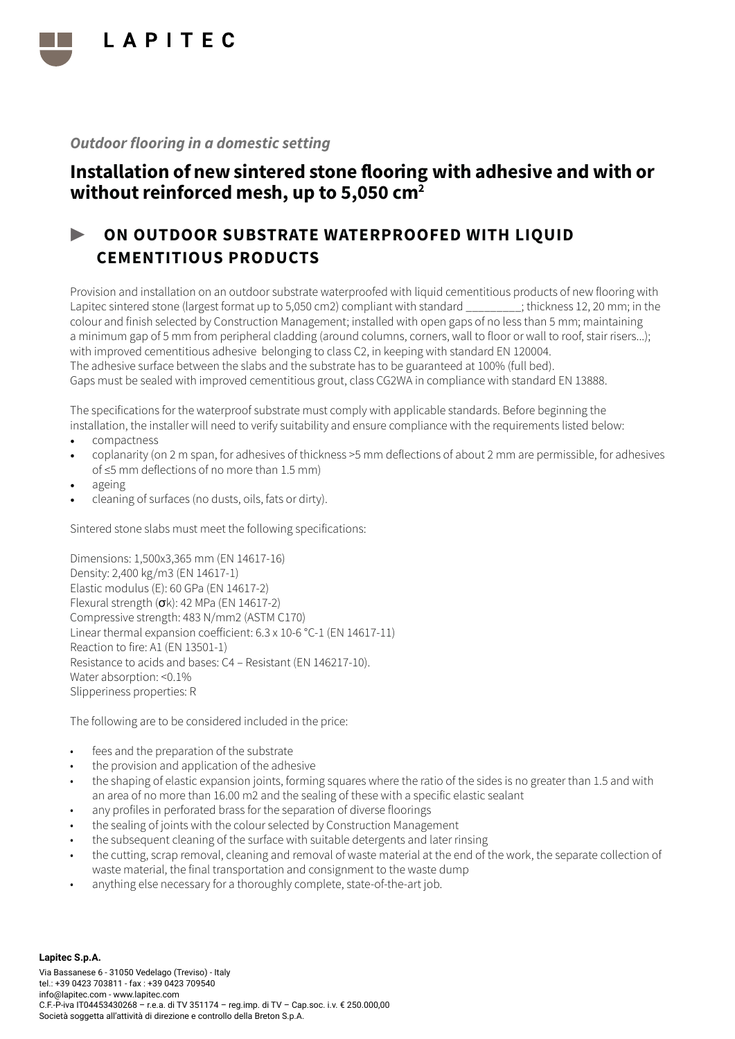

# Installation of new sintered stone flooring with adhesive and with or without reinforced mesh, up to 5,050 cm<sup>2</sup>

# ON OUTDOOR SUBSTRATE WATERPROOFED WITH LIQUID CEMENTITIOUS PRODUCTS

Provision and installation on an outdoor substrate waterproofed with liquid cementitious products of new flooring with Lapitec sintered stone (largest format up to 5,050 cm2) compliant with standard \_\_\_\_\_\_\_\_\_; thickness 12, 20 mm; in the colour and finish selected by Construction Management; installed with open gaps of no less than 5 mm; maintaining a minimum gap of 5 mm from peripheral cladding (around columns, corners, wall to floor or wall to roof, stair risers...); with improved cementitious adhesive belonging to class C2, in keeping with standard EN 120004. The adhesive surface between the slabs and the substrate has to be guaranteed at 100% (full bed). Gaps must be sealed with improved cementitious grout, class CG2WA in compliance with standard EN 13888.

The specifications for the waterproof substrate must comply with applicable standards. Before beginning the installation, the installer will need to verify suitability and ensure compliance with the requirements listed below:

- compactness
- coplanarity (on 2 m span, for adhesives of thickness >5 mm deflections of about 2 mm are permissible, for adhesives of ≤5 mm deflections of no more than 1.5 mm)
- ageing
- cleaning of surfaces (no dusts, oils, fats or dirty).

Sintered stone slabs must meet the following specifications:

Dimensions: 1,500x3,365 mm (EN 14617-16) Density: 2,400 kg/m3 (EN 14617-1) Elastic modulus (E): 60 GPa (EN 14617-2) Flexural strength (σk): 42 MPa (EN 14617-2) Compressive strength: 483 N/mm2 (ASTM C170) Linear thermal expansion coefficient: 6.3 x 10-6 °C-1 (EN 14617-11) Reaction to fire: A1 (EN 13501-1) Resistance to acids and bases: C4 – Resistant (EN 146217-10). Water absorption: <0.1% Slipperiness properties: R

The following are to be considered included in the price:

- fees and the preparation of the substrate
- the provision and application of the adhesive
- the shaping of elastic expansion joints, forming squares where the ratio of the sides is no greater than 1.5 and with an area of no more than 16.00 m2 and the sealing of these with a specific elastic sealant
- any profiles in perforated brass for the separation of diverse floorings
- the sealing of joints with the colour selected by Construction Management
- the subsequent cleaning of the surface with suitable detergents and later rinsing
- the cutting, scrap removal, cleaning and removal of waste material at the end of the work, the separate collection of waste material, the final transportation and consignment to the waste dump
- anything else necessary for a thoroughly complete, state-of-the-art job.

**Lapitec S.p.A.** Via Bassanese 6 - 31050 Vedelago (Treviso) - Italy tel.: +39 0423 703811 - fax : +39 0423 709540 info@lapitec.com - www.lapitec.com C.F.-P-iva IT04453430268 – r.e.a. di TV 351174 – reg.imp. di TV – Cap.soc. i.v. € 250.000,00 Società soggetta all'attività di direzione e controllo della Breton S.p.A.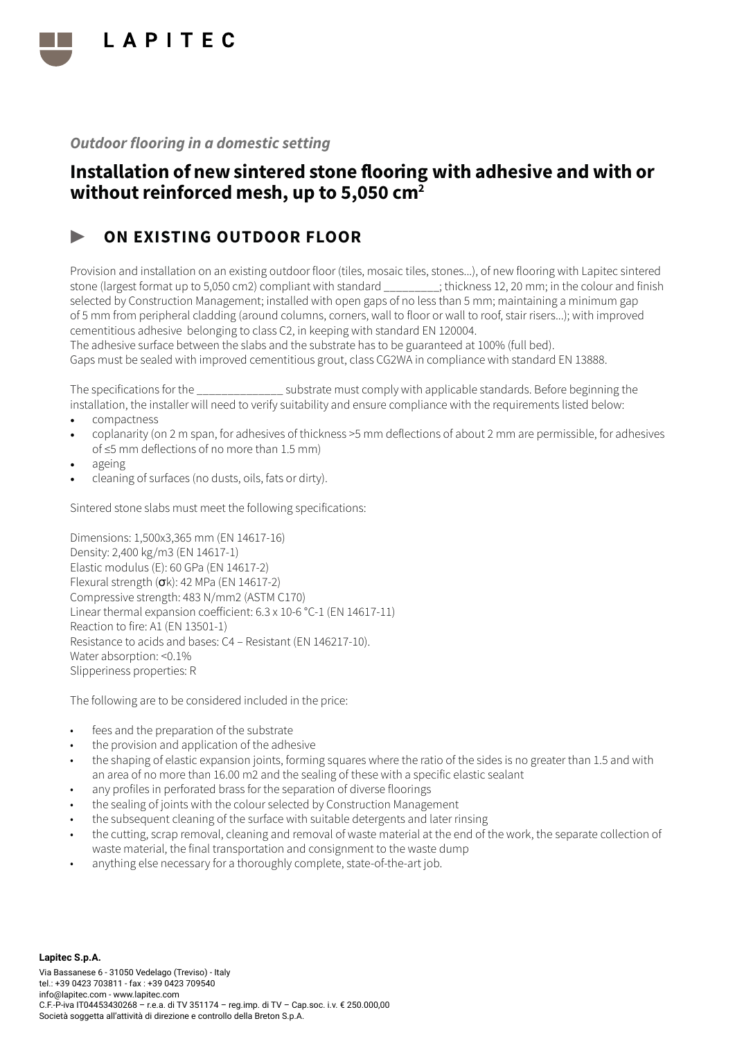

# Installation of new sintered stone flooring with adhesive and with or without reinforced mesh, up to 5,050 cm<sup>2</sup>

### ON EXISTING OUTDOOR FLOOR

Provision and installation on an existing outdoor floor (tiles, mosaic tiles, stones...), of new flooring with Lapitec sintered stone (largest format up to 5,050 cm2) compliant with standard \_\_\_\_\_\_\_\_\_; thickness 12, 20 mm; in the colour and finish selected by Construction Management; installed with open gaps of no less than 5 mm; maintaining a minimum gap of 5 mm from peripheral cladding (around columns, corners, wall to floor or wall to roof, stair risers...); with improved cementitious adhesive belonging to class C2, in keeping with standard EN 120004.

The adhesive surface between the slabs and the substrate has to be guaranteed at 100% (full bed). Gaps must be sealed with improved cementitious grout, class CG2WA in compliance with standard EN 13888.

The specifications for the \_\_\_\_\_\_\_\_\_\_\_\_\_\_ substrate must comply with applicable standards. Before beginning the installation, the installer will need to verify suitability and ensure compliance with the requirements listed below:

- compactness
- coplanarity (on 2 m span, for adhesives of thickness >5 mm deflections of about 2 mm are permissible, for adhesives of ≤5 mm deflections of no more than 1.5 mm)
- ageing
- cleaning of surfaces (no dusts, oils, fats or dirty).

Sintered stone slabs must meet the following specifications:

Dimensions: 1,500x3,365 mm (EN 14617-16) Density: 2,400 kg/m3 (EN 14617-1) Elastic modulus (E): 60 GPa (EN 14617-2) Flexural strength  $(\sigma k)$ : 42 MPa (EN 14617-2) Compressive strength: 483 N/mm2 (ASTM C170) Linear thermal expansion coefficient: 6.3 x 10-6 °C-1 (EN 14617-11) Reaction to fire: A1 (EN 13501-1) Resistance to acids and bases: C4 – Resistant (EN 146217-10). Water absorption: <0.1% Slipperiness properties: R

- fees and the preparation of the substrate
- the provision and application of the adhesive
- the shaping of elastic expansion joints, forming squares where the ratio of the sides is no greater than 1.5 and with an area of no more than 16.00 m2 and the sealing of these with a specific elastic sealant
- any profiles in perforated brass for the separation of diverse floorings
- the sealing of joints with the colour selected by Construction Management
- the subsequent cleaning of the surface with suitable detergents and later rinsing
- the cutting, scrap removal, cleaning and removal of waste material at the end of the work, the separate collection of waste material, the final transportation and consignment to the waste dump
- anything else necessary for a thoroughly complete, state-of-the-art job.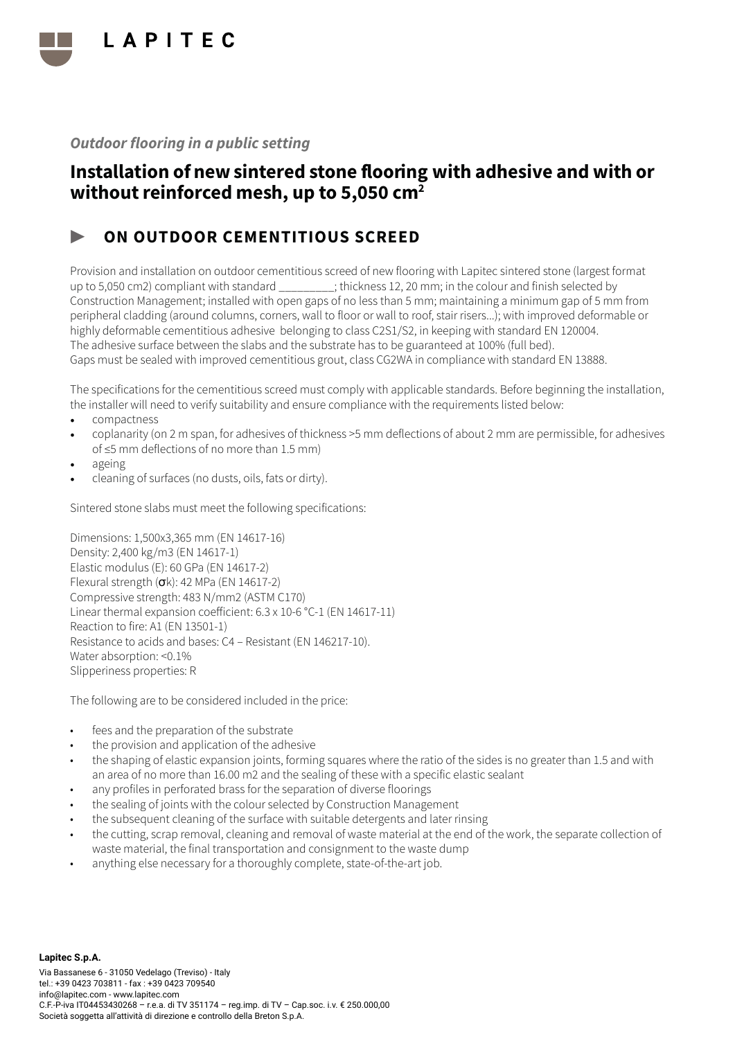

# Installation of new sintered stone flooring with adhesive and with or without reinforced mesh, up to 5,050 cm<sup>2</sup>

#### ON OUTDOOR CEMENTITIOUS SCREED

Provision and installation on outdoor cementitious screed of new flooring with Lapitec sintered stone (largest format up to 5,050 cm2) compliant with standard \_\_\_\_\_\_\_\_\_; thickness 12, 20 mm; in the colour and finish selected by Construction Management; installed with open gaps of no less than 5 mm; maintaining a minimum gap of 5 mm from peripheral cladding (around columns, corners, wall to floor or wall to roof, stair risers...); with improved deformable or highly deformable cementitious adhesive belonging to class C2S1/S2, in keeping with standard EN 120004. The adhesive surface between the slabs and the substrate has to be guaranteed at 100% (full bed). Gaps must be sealed with improved cementitious grout, class CG2WA in compliance with standard EN 13888.

The specifications for the cementitious screed must comply with applicable standards. Before beginning the installation, the installer will need to verify suitability and ensure compliance with the requirements listed below:

- compactness
- coplanarity (on 2 m span, for adhesives of thickness >5 mm deflections of about 2 mm are permissible, for adhesives of ≤5 mm deflections of no more than 1.5 mm)
- ageing
- cleaning of surfaces (no dusts, oils, fats or dirty).

Sintered stone slabs must meet the following specifications:

Dimensions: 1,500x3,365 mm (EN 14617-16) Density: 2,400 kg/m3 (EN 14617-1) Elastic modulus (E): 60 GPa (EN 14617-2) Flexural strength  $(\sigma k)$ : 42 MPa (EN 14617-2) Compressive strength: 483 N/mm2 (ASTM C170) Linear thermal expansion coefficient: 6.3 x 10-6 °C-1 (EN 14617-11) Reaction to fire: A1 (EN 13501-1) Resistance to acids and bases: C4 – Resistant (EN 146217-10). Water absorption: <0.1% Slipperiness properties: R

- fees and the preparation of the substrate
- the provision and application of the adhesive
- the shaping of elastic expansion joints, forming squares where the ratio of the sides is no greater than 1.5 and with an area of no more than 16.00 m2 and the sealing of these with a specific elastic sealant
- any profiles in perforated brass for the separation of diverse floorings
- the sealing of joints with the colour selected by Construction Management
- the subsequent cleaning of the surface with suitable detergents and later rinsing
- the cutting, scrap removal, cleaning and removal of waste material at the end of the work, the separate collection of waste material, the final transportation and consignment to the waste dump
- anything else necessary for a thoroughly complete, state-of-the-art job.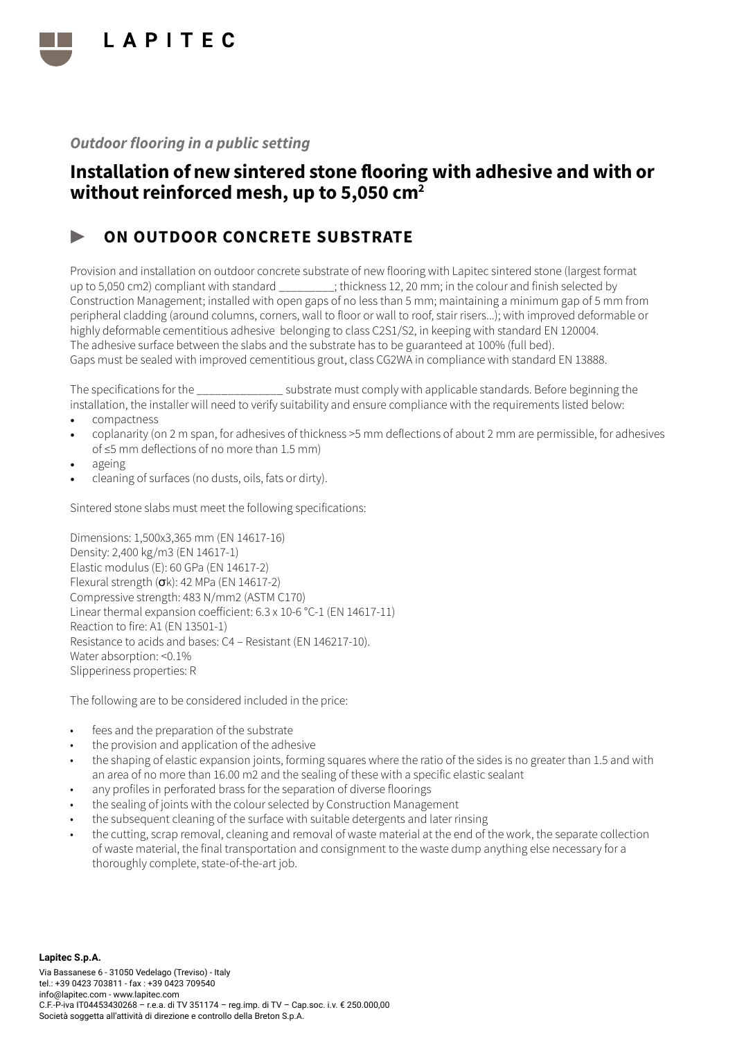

# Installation of new sintered stone flooring with adhesive and with or without reinforced mesh, up to 5,050 cm<sup>2</sup>

#### ON OUTDOOR CONCRETE SUBSTRATE

Provision and installation on outdoor concrete substrate of new flooring with Lapitec sintered stone (largest format up to 5,050 cm2) compliant with standard \_\_\_\_\_\_\_\_\_; thickness 12, 20 mm; in the colour and finish selected by Construction Management; installed with open gaps of no less than 5 mm; maintaining a minimum gap of 5 mm from peripheral cladding (around columns, corners, wall to floor or wall to roof, stair risers...); with improved deformable or highly deformable cementitious adhesive belonging to class C2S1/S2, in keeping with standard EN 120004. The adhesive surface between the slabs and the substrate has to be guaranteed at 100% (full bed). Gaps must be sealed with improved cementitious grout, class CG2WA in compliance with standard EN 13888.

The specifications for the \_\_\_\_\_\_\_\_\_\_\_\_\_\_ substrate must comply with applicable standards. Before beginning the installation, the installer will need to verify suitability and ensure compliance with the requirements listed below:

- compactness
- coplanarity (on 2 m span, for adhesives of thickness >5 mm deflections of about 2 mm are permissible, for adhesives of ≤5 mm deflections of no more than 1.5 mm)
- ageing
- cleaning of surfaces (no dusts, oils, fats or dirty).

Sintered stone slabs must meet the following specifications:

Dimensions: 1,500x3,365 mm (EN 14617-16) Density: 2,400 kg/m3 (EN 14617-1) Elastic modulus (E): 60 GPa (EN 14617-2) Flexural strength  $(\sigma k)$ : 42 MPa (EN 14617-2) Compressive strength: 483 N/mm2 (ASTM C170) Linear thermal expansion coefficient: 6.3 x 10-6 °C-1 (EN 14617-11) Reaction to fire: A1 (EN 13501-1) Resistance to acids and bases: C4 – Resistant (EN 146217-10). Water absorption: <0.1% Slipperiness properties: R

- fees and the preparation of the substrate
- the provision and application of the adhesive
- the shaping of elastic expansion joints, forming squares where the ratio of the sides is no greater than 1.5 and with an area of no more than 16.00 m2 and the sealing of these with a specific elastic sealant
- any profiles in perforated brass for the separation of diverse floorings
- the sealing of joints with the colour selected by Construction Management
- the subsequent cleaning of the surface with suitable detergents and later rinsing
- the cutting, scrap removal, cleaning and removal of waste material at the end of the work, the separate collection of waste material, the final transportation and consignment to the waste dump anything else necessary for a thoroughly complete, state-of-the-art job.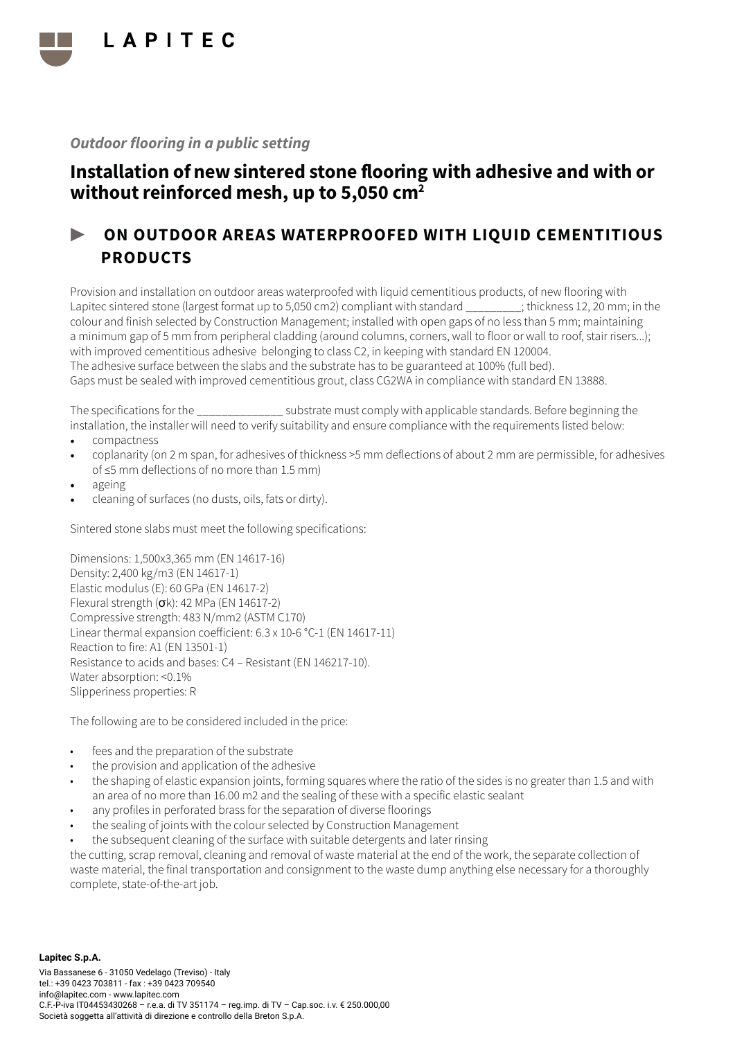

# Installation of new sintered stone flooring with adhesive and with or without reinforced mesh, up to 5,050 cm<sup>2</sup>

# ON OUTDOOR AREAS WATERPROOFED WITH LIQUID CEMENTITIOUS PRODUCTS

Provision and installation on outdoor areas waterproofed with liquid cementitious products, of new flooring with Lapitec sintered stone (largest format up to 5,050 cm2) compliant with standard \_\_\_\_\_\_\_\_\_; thickness 12, 20 mm; in the colour and finish selected by Construction Management; installed with open gaps of no less than 5 mm; maintaining a minimum gap of 5 mm from peripheral cladding (around columns, corners, wall to floor or wall to roof, stair risers...); with improved cementitious adhesive belonging to class C2, in keeping with standard EN 120004. The adhesive surface between the slabs and the substrate has to be guaranteed at 100% (full bed). Gaps must be sealed with improved cementitious grout, class CG2WA in compliance with standard EN 13888.

The specifications for the \_\_\_\_\_\_\_\_\_\_\_\_\_\_ substrate must comply with applicable standards. Before beginning the installation, the installer will need to verify suitability and ensure compliance with the requirements listed below:

- compactness
- coplanarity (on 2 m span, for adhesives of thickness >5 mm deflections of about 2 mm are permissible, for adhesives of ≤5 mm deflections of no more than 1.5 mm)
- ageing
- cleaning of surfaces (no dusts, oils, fats or dirty).

Sintered stone slabs must meet the following specifications:

Dimensions: 1,500x3,365 mm (EN 14617-16) Density: 2,400 kg/m3 (EN 14617-1) Elastic modulus (E): 60 GPa (EN 14617-2) Flexural strength (σk): 42 MPa (EN 14617-2) Compressive strength: 483 N/mm2 (ASTM C170) Linear thermal expansion coefficient: 6.3 x 10-6 °C-1 (EN 14617-11) Reaction to fire: A1 (EN 13501-1) Resistance to acids and bases: C4 – Resistant (EN 146217-10). Water absorption: <0.1% Slipperiness properties: R

The following are to be considered included in the price:

- fees and the preparation of the substrate
- the provision and application of the adhesive
- the shaping of elastic expansion joints, forming squares where the ratio of the sides is no greater than 1.5 and with an area of no more than 16.00 m2 and the sealing of these with a specific elastic sealant
- any profiles in perforated brass for the separation of diverse floorings
- the sealing of joints with the colour selected by Construction Management
- the subsequent cleaning of the surface with suitable detergents and later rinsing

the cutting, scrap removal, cleaning and removal of waste material at the end of the work, the separate collection of waste material, the final transportation and consignment to the waste dump anything else necessary for a thoroughly complete, state-of-the-art job.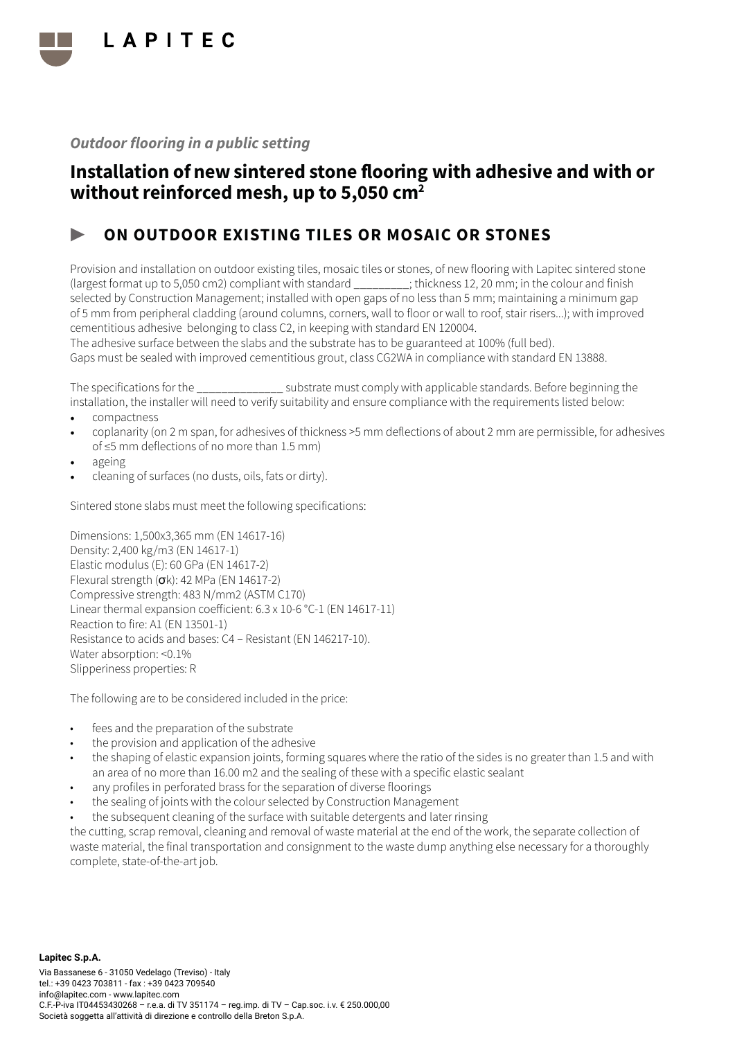

# Installation of new sintered stone flooring with adhesive and with or without reinforced mesh, up to 5,050 cm<sup>2</sup>

### ON OUTDOOR EXISTING TILES OR MOSAIC OR STONES

Provision and installation on outdoor existing tiles, mosaic tiles or stones, of new flooring with Lapitec sintered stone (largest format up to 5,050 cm2) compliant with standard \_\_\_\_\_\_\_\_\_; thickness 12, 20 mm; in the colour and finish selected by Construction Management; installed with open gaps of no less than 5 mm; maintaining a minimum gap of 5 mm from peripheral cladding (around columns, corners, wall to floor or wall to roof, stair risers...); with improved cementitious adhesive belonging to class C2, in keeping with standard EN 120004.

The adhesive surface between the slabs and the substrate has to be guaranteed at 100% (full bed). Gaps must be sealed with improved cementitious grout, class CG2WA in compliance with standard EN 13888.

The specifications for the  $\sim$  substrate must comply with applicable standards. Before beginning the installation, the installer will need to verify suitability and ensure compliance with the requirements listed below:

- compactness
- coplanarity (on 2 m span, for adhesives of thickness >5 mm deflections of about 2 mm are permissible, for adhesives of ≤5 mm deflections of no more than 1.5 mm)
- ageing
- cleaning of surfaces (no dusts, oils, fats or dirty).

Sintered stone slabs must meet the following specifications:

Dimensions: 1,500x3,365 mm (EN 14617-16) Density: 2,400 kg/m3 (EN 14617-1) Elastic modulus (E): 60 GPa (EN 14617-2) Flexural strength (σk): 42 MPa (EN 14617-2) Compressive strength: 483 N/mm2 (ASTM C170) Linear thermal expansion coefficient: 6.3 x 10-6 °C-1 (EN 14617-11) Reaction to fire: A1 (EN 13501-1) Resistance to acids and bases: C4 – Resistant (EN 146217-10). Water absorption: <0.1% Slipperiness properties: R

The following are to be considered included in the price:

- fees and the preparation of the substrate
- the provision and application of the adhesive
- the shaping of elastic expansion joints, forming squares where the ratio of the sides is no greater than 1.5 and with an area of no more than 16.00 m2 and the sealing of these with a specific elastic sealant
- any profiles in perforated brass for the separation of diverse floorings
- the sealing of joints with the colour selected by Construction Management
- the subsequent cleaning of the surface with suitable detergents and later rinsing

the cutting, scrap removal, cleaning and removal of waste material at the end of the work, the separate collection of waste material, the final transportation and consignment to the waste dump anything else necessary for a thoroughly complete, state-of-the-art job.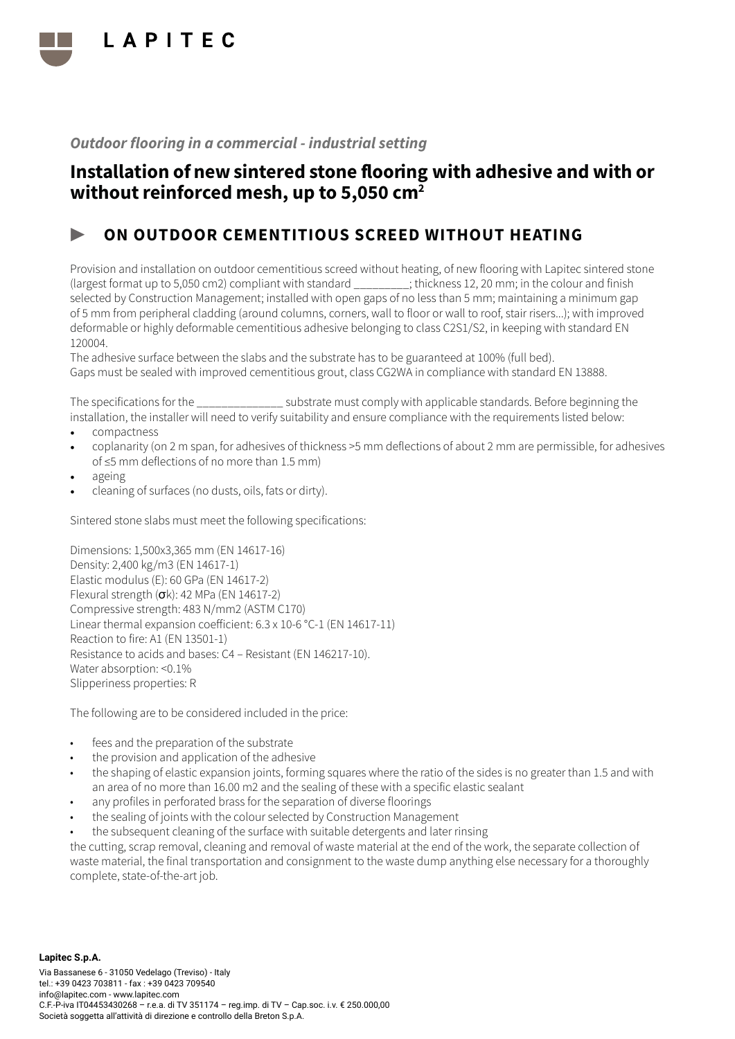

# Installation of new sintered stone flooring with adhesive and with or without reinforced mesh, up to 5,050 cm<sup>2</sup>

### ON OUTDOOR CEMENTITIOUS SCREED WITHOUT HEATING

Provision and installation on outdoor cementitious screed without heating, of new flooring with Lapitec sintered stone (largest format up to 5,050 cm2) compliant with standard \_\_\_\_\_\_\_\_\_; thickness 12, 20 mm; in the colour and finish selected by Construction Management; installed with open gaps of no less than 5 mm; maintaining a minimum gap of 5 mm from peripheral cladding (around columns, corners, wall to floor or wall to roof, stair risers...); with improved deformable or highly deformable cementitious adhesive belonging to class C2S1/S2, in keeping with standard EN 120004.

The adhesive surface between the slabs and the substrate has to be guaranteed at 100% (full bed). Gaps must be sealed with improved cementitious grout, class CG2WA in compliance with standard EN 13888.

The specifications for the \_\_\_\_\_\_\_\_\_\_\_\_\_\_ substrate must comply with applicable standards. Before beginning the installation, the installer will need to verify suitability and ensure compliance with the requirements listed below:

- compactness
- coplanarity (on 2 m span, for adhesives of thickness >5 mm deflections of about 2 mm are permissible, for adhesives of ≤5 mm deflections of no more than 1.5 mm)
- ageing
- cleaning of surfaces (no dusts, oils, fats or dirty).

Sintered stone slabs must meet the following specifications:

Dimensions: 1,500x3,365 mm (EN 14617-16) Density: 2,400 kg/m3 (EN 14617-1) Elastic modulus (E): 60 GPa (EN 14617-2) Flexural strength (σk): 42 MPa (EN 14617-2) Compressive strength: 483 N/mm2 (ASTM C170) Linear thermal expansion coefficient: 6.3 x 10-6 °C-1 (EN 14617-11) Reaction to fire: A1 (EN 13501-1) Resistance to acids and bases: C4 – Resistant (EN 146217-10). Water absorption: <0.1% Slipperiness properties: R

The following are to be considered included in the price:

- fees and the preparation of the substrate
- the provision and application of the adhesive
- the shaping of elastic expansion joints, forming squares where the ratio of the sides is no greater than 1.5 and with an area of no more than 16.00 m2 and the sealing of these with a specific elastic sealant
- any profiles in perforated brass for the separation of diverse floorings
- the sealing of joints with the colour selected by Construction Management
- the subsequent cleaning of the surface with suitable detergents and later rinsing

the cutting, scrap removal, cleaning and removal of waste material at the end of the work, the separate collection of waste material, the final transportation and consignment to the waste dump anything else necessary for a thoroughly complete, state-of-the-art job.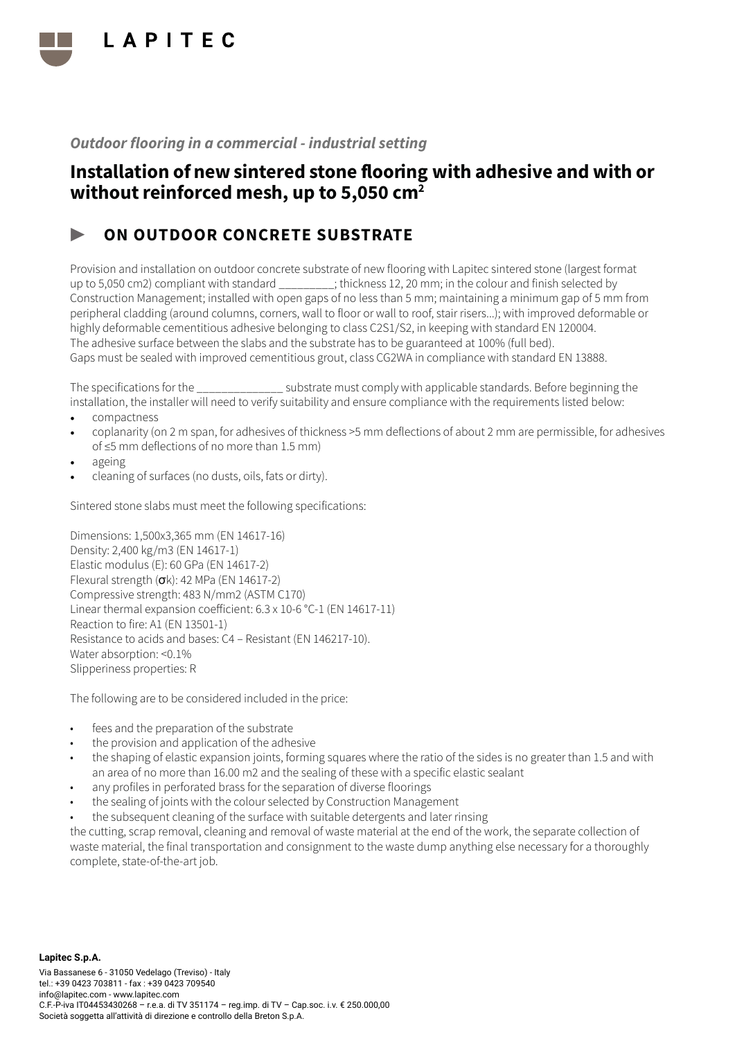

### Installation of new sintered stone flooring with adhesive and with or without reinforced mesh, up to 5,050 cm<sup>2</sup>

# ON OUTDOOR CONCRETE SUBSTRATE

Provision and installation on outdoor concrete substrate of new flooring with Lapitec sintered stone (largest format up to 5,050 cm2) compliant with standard \_\_\_\_\_\_\_\_\_; thickness 12, 20 mm; in the colour and finish selected by Construction Management; installed with open gaps of no less than 5 mm; maintaining a minimum gap of 5 mm from peripheral cladding (around columns, corners, wall to floor or wall to roof, stair risers...); with improved deformable or highly deformable cementitious adhesive belonging to class C2S1/S2, in keeping with standard EN 120004. The adhesive surface between the slabs and the substrate has to be guaranteed at 100% (full bed). Gaps must be sealed with improved cementitious grout, class CG2WA in compliance with standard EN 13888.

The specifications for the  $\sim$  substrate must comply with applicable standards. Before beginning the installation, the installer will need to verify suitability and ensure compliance with the requirements listed below:

- compactness
- coplanarity (on 2 m span, for adhesives of thickness >5 mm deflections of about 2 mm are permissible, for adhesives of ≤5 mm deflections of no more than 1.5 mm)
- ageing
- cleaning of surfaces (no dusts, oils, fats or dirty).

Sintered stone slabs must meet the following specifications:

Dimensions: 1,500x3,365 mm (EN 14617-16) Density: 2,400 kg/m3 (EN 14617-1) Elastic modulus (E): 60 GPa (EN 14617-2) Flexural strength (σk): 42 MPa (EN 14617-2) Compressive strength: 483 N/mm2 (ASTM C170) Linear thermal expansion coefficient: 6.3 x 10-6 °C-1 (EN 14617-11) Reaction to fire: A1 (EN 13501-1) Resistance to acids and bases: C4 – Resistant (EN 146217-10). Water absorption: <0.1% Slipperiness properties: R

The following are to be considered included in the price:

- fees and the preparation of the substrate
- the provision and application of the adhesive
- the shaping of elastic expansion joints, forming squares where the ratio of the sides is no greater than 1.5 and with an area of no more than 16.00 m2 and the sealing of these with a specific elastic sealant
- any profiles in perforated brass for the separation of diverse floorings
- the sealing of joints with the colour selected by Construction Management
- the subsequent cleaning of the surface with suitable detergents and later rinsing

the cutting, scrap removal, cleaning and removal of waste material at the end of the work, the separate collection of waste material, the final transportation and consignment to the waste dump anything else necessary for a thoroughly complete, state-of-the-art job.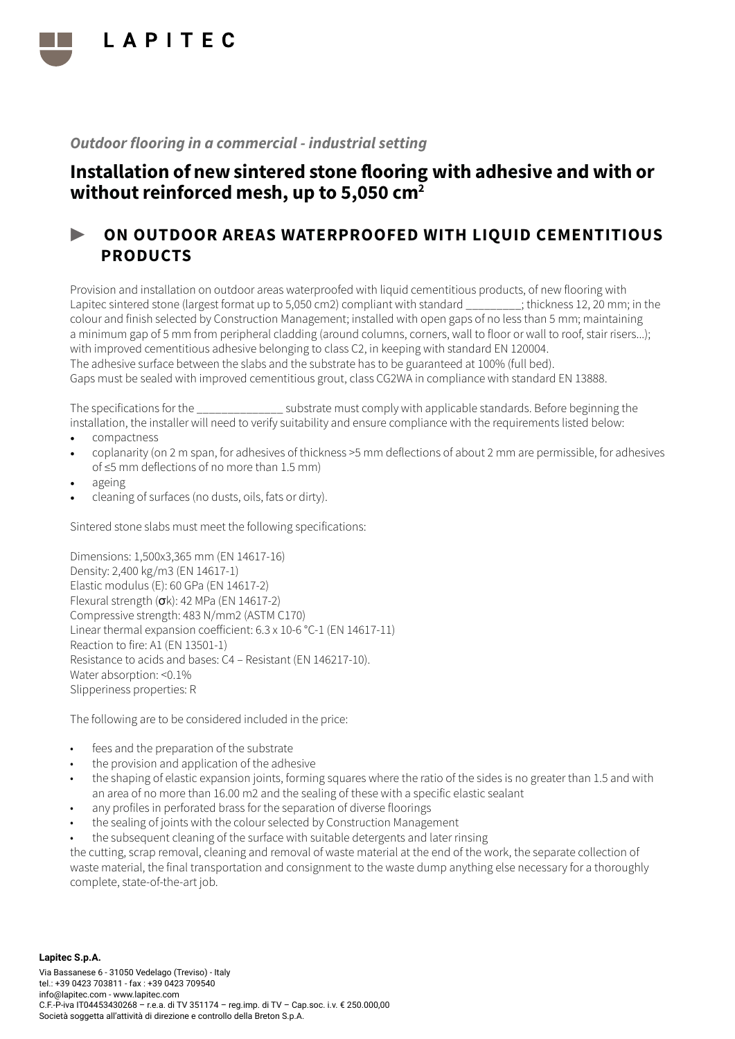

# Installation of new sintered stone flooring with adhesive and with or without reinforced mesh, up to 5,050 cm<sup>2</sup>

### ▶ ON OUTDOOR AREAS WATERPROOFED WITH LIQUID CEMENTITIOUS PRODUCTS

Provision and installation on outdoor areas waterproofed with liquid cementitious products, of new flooring with Lapitec sintered stone (largest format up to 5,050 cm2) compliant with standard \_\_\_\_\_\_\_\_\_; thickness 12, 20 mm; in the colour and finish selected by Construction Management; installed with open gaps of no less than 5 mm; maintaining a minimum gap of 5 mm from peripheral cladding (around columns, corners, wall to floor or wall to roof, stair risers...); with improved cementitious adhesive belonging to class C2, in keeping with standard EN 120004. The adhesive surface between the slabs and the substrate has to be guaranteed at 100% (full bed). Gaps must be sealed with improved cementitious grout, class CG2WA in compliance with standard EN 13888.

The specifications for the \_\_\_\_\_\_\_\_\_\_\_\_\_\_ substrate must comply with applicable standards. Before beginning the installation, the installer will need to verify suitability and ensure compliance with the requirements listed below:

- compactness
- coplanarity (on 2 m span, for adhesives of thickness >5 mm deflections of about 2 mm are permissible, for adhesives of ≤5 mm deflections of no more than 1.5 mm)
- ageing
- cleaning of surfaces (no dusts, oils, fats or dirty).

Sintered stone slabs must meet the following specifications:

Dimensions: 1,500x3,365 mm (EN 14617-16) Density: 2,400 kg/m3 (EN 14617-1) Elastic modulus (E): 60 GPa (EN 14617-2) Flexural strength (σk): 42 MPa (EN 14617-2) Compressive strength: 483 N/mm2 (ASTM C170) Linear thermal expansion coefficient: 6.3 x 10-6 °C-1 (EN 14617-11) Reaction to fire: A1 (EN 13501-1) Resistance to acids and bases: C4 – Resistant (EN 146217-10). Water absorption: <0.1% Slipperiness properties: R

The following are to be considered included in the price:

- fees and the preparation of the substrate
- the provision and application of the adhesive
- the shaping of elastic expansion joints, forming squares where the ratio of the sides is no greater than 1.5 and with an area of no more than 16.00 m2 and the sealing of these with a specific elastic sealant
- any profiles in perforated brass for the separation of diverse floorings
- the sealing of joints with the colour selected by Construction Management
- the subsequent cleaning of the surface with suitable detergents and later rinsing

the cutting, scrap removal, cleaning and removal of waste material at the end of the work, the separate collection of waste material, the final transportation and consignment to the waste dump anything else necessary for a thoroughly complete, state-of-the-art job.